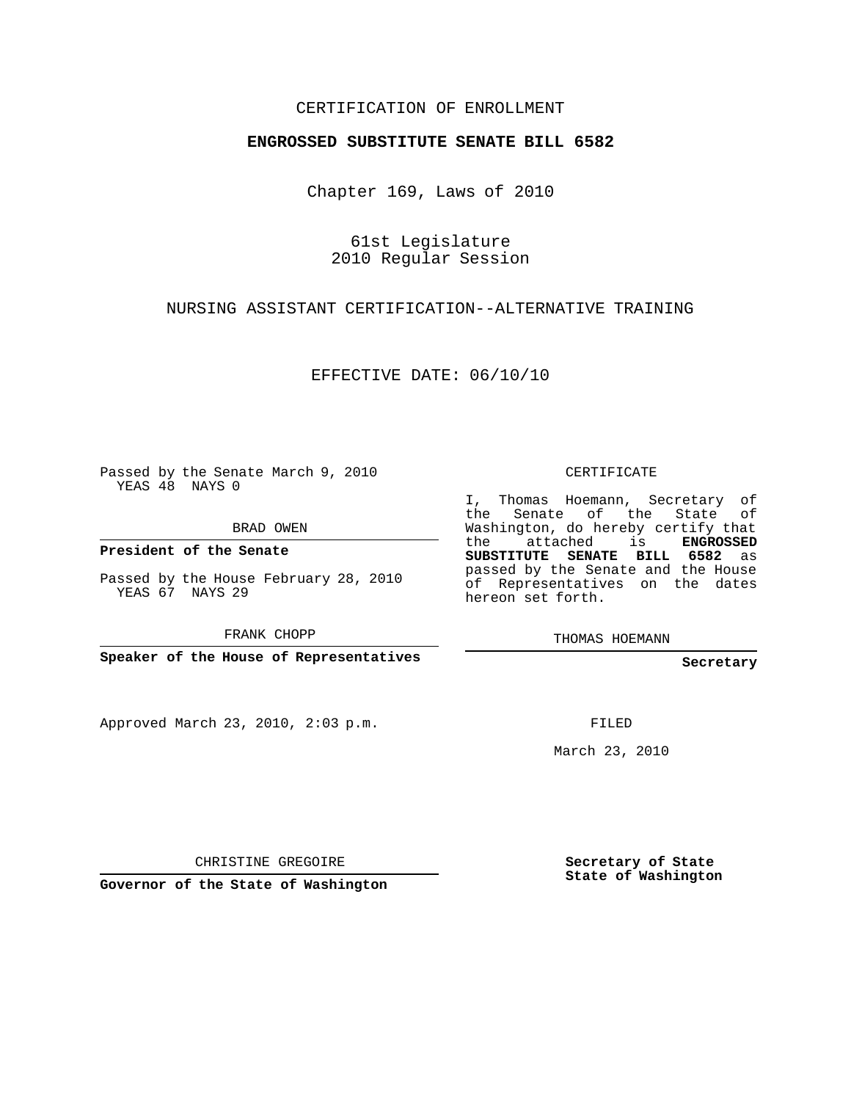## CERTIFICATION OF ENROLLMENT

#### **ENGROSSED SUBSTITUTE SENATE BILL 6582**

Chapter 169, Laws of 2010

61st Legislature 2010 Regular Session

### NURSING ASSISTANT CERTIFICATION--ALTERNATIVE TRAINING

EFFECTIVE DATE: 06/10/10

Passed by the Senate March 9, 2010 YEAS 48 NAYS 0

BRAD OWEN

**President of the Senate**

Passed by the House February 28, 2010 YEAS 67 NAYS 29

FRANK CHOPP

**Speaker of the House of Representatives**

Approved March 23, 2010, 2:03 p.m.

CERTIFICATE

I, Thomas Hoemann, Secretary of the Senate of the State of Washington, do hereby certify that the attached is **ENGROSSED SUBSTITUTE SENATE BILL 6582** as passed by the Senate and the House of Representatives on the dates hereon set forth.

THOMAS HOEMANN

**Secretary**

FILED

March 23, 2010

CHRISTINE GREGOIRE

**Governor of the State of Washington**

**Secretary of State State of Washington**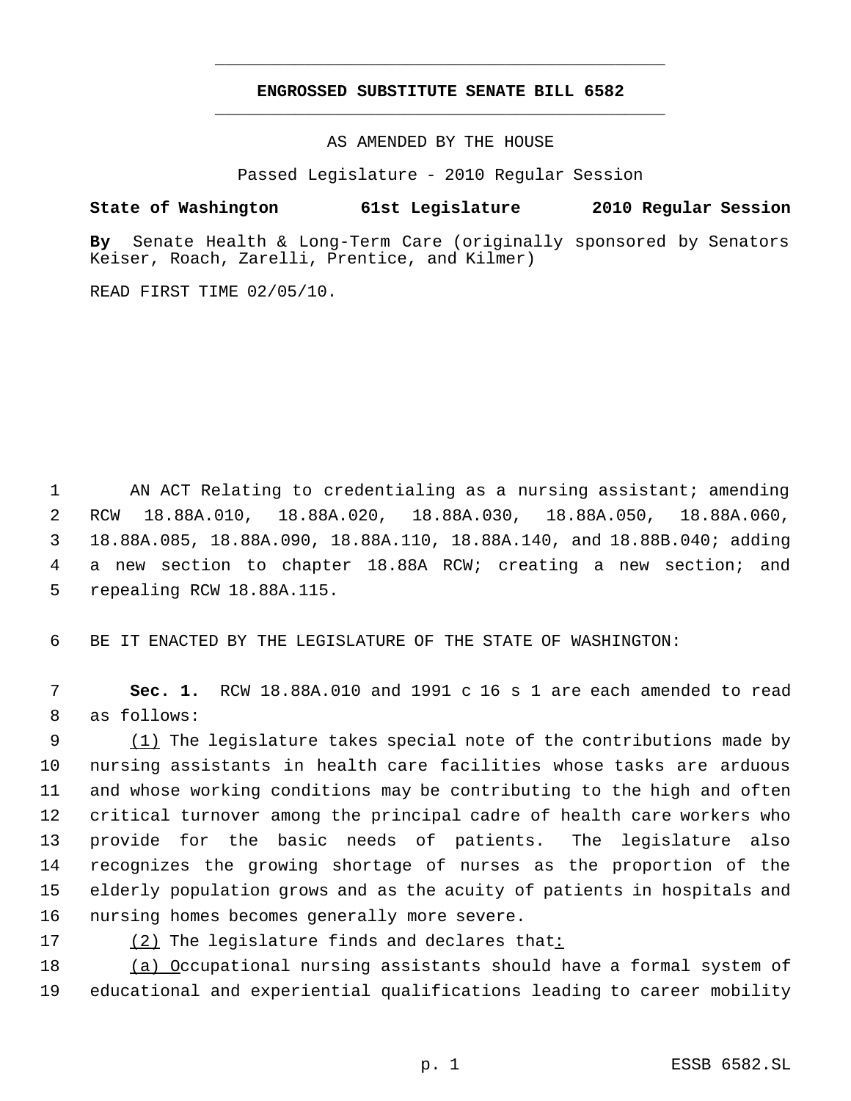# **ENGROSSED SUBSTITUTE SENATE BILL 6582** \_\_\_\_\_\_\_\_\_\_\_\_\_\_\_\_\_\_\_\_\_\_\_\_\_\_\_\_\_\_\_\_\_\_\_\_\_\_\_\_\_\_\_\_\_

\_\_\_\_\_\_\_\_\_\_\_\_\_\_\_\_\_\_\_\_\_\_\_\_\_\_\_\_\_\_\_\_\_\_\_\_\_\_\_\_\_\_\_\_\_

AS AMENDED BY THE HOUSE

Passed Legislature - 2010 Regular Session

#### **State of Washington 61st Legislature 2010 Regular Session**

**By** Senate Health & Long-Term Care (originally sponsored by Senators Keiser, Roach, Zarelli, Prentice, and Kilmer)

READ FIRST TIME 02/05/10.

1 AN ACT Relating to credentialing as a nursing assistant; amending RCW 18.88A.010, 18.88A.020, 18.88A.030, 18.88A.050, 18.88A.060, 18.88A.085, 18.88A.090, 18.88A.110, 18.88A.140, and 18.88B.040; adding a new section to chapter 18.88A RCW; creating a new section; and repealing RCW 18.88A.115.

6 BE IT ENACTED BY THE LEGISLATURE OF THE STATE OF WASHINGTON:

 7 **Sec. 1.** RCW 18.88A.010 and 1991 c 16 s 1 are each amended to read 8 as follows:

9 (1) The legislature takes special note of the contributions made by nursing assistants in health care facilities whose tasks are arduous and whose working conditions may be contributing to the high and often critical turnover among the principal cadre of health care workers who provide for the basic needs of patients. The legislature also recognizes the growing shortage of nurses as the proportion of the elderly population grows and as the acuity of patients in hospitals and nursing homes becomes generally more severe.

17 (2) The legislature finds and declares that:

18 (a) Occupational nursing assistants should have a formal system of 19 educational and experiential qualifications leading to career mobility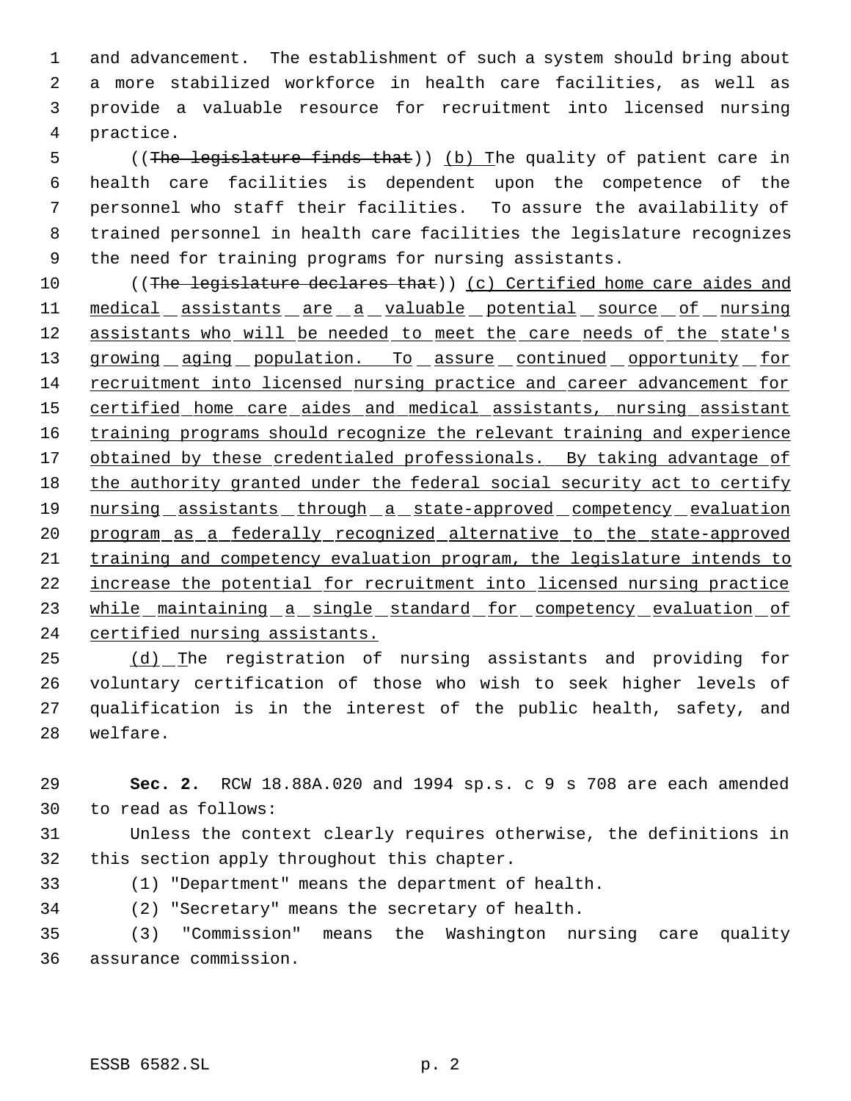and advancement. The establishment of such a system should bring about a more stabilized workforce in health care facilities, as well as provide a valuable resource for recruitment into licensed nursing practice.

5 ((The legislature finds that)) (b) The quality of patient care in health care facilities is dependent upon the competence of the personnel who staff their facilities. To assure the availability of trained personnel in health care facilities the legislature recognizes the need for training programs for nursing assistants.

 ((The legislature declares that)) (c) Certified home care aides and 11 medical assistants are a valuable potential source of nursing 12 assistants who will be needed to meet the care needs of the state's 13 growing aging population. To assure continued opportunity for recruitment into licensed nursing practice and career advancement for certified home care aides and medical assistants, nursing assistant 16 training programs should recognize the relevant training and experience 17 obtained by these credentialed professionals. By taking advantage of 18 the authority granted under the federal social security act to certify 19 nursing assistants through a state-approved competency evaluation program as a federally recognized alternative to the state-approved training and competency evaluation program, the legislature intends to increase the potential for recruitment into licensed nursing practice 23 while maintaining a single standard for competency evaluation of certified nursing assistants.

 (d) The registration of nursing assistants and providing for voluntary certification of those who wish to seek higher levels of qualification is in the interest of the public health, safety, and welfare.

 **Sec. 2.** RCW 18.88A.020 and 1994 sp.s. c 9 s 708 are each amended to read as follows:

 Unless the context clearly requires otherwise, the definitions in this section apply throughout this chapter.

(1) "Department" means the department of health.

(2) "Secretary" means the secretary of health.

 (3) "Commission" means the Washington nursing care quality assurance commission.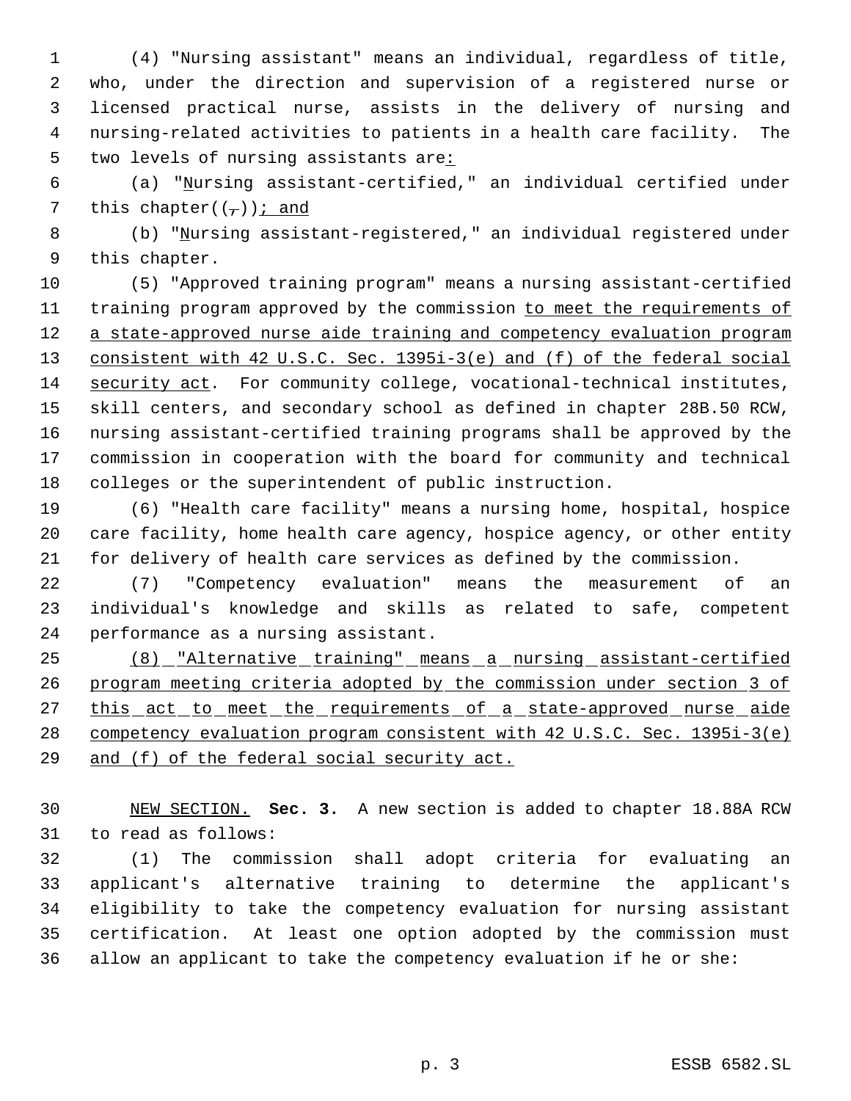(4) "Nursing assistant" means an individual, regardless of title, who, under the direction and supervision of a registered nurse or licensed practical nurse, assists in the delivery of nursing and nursing-related activities to patients in a health care facility. The 5 two levels of nursing assistants are:

 (a) "Nursing assistant-certified," an individual certified under 7 this chapter( $(\frac{\tau}{l})$ ); and

 (b) "Nursing assistant-registered," an individual registered under this chapter.

 (5) "Approved training program" means a nursing assistant-certified 11 training program approved by the commission to meet the requirements of 12 a state-approved nurse aide training and competency evaluation program consistent with 42 U.S.C. Sec. 1395i-3(e) and (f) of the federal social security act. For community college, vocational-technical institutes, skill centers, and secondary school as defined in chapter 28B.50 RCW, nursing assistant-certified training programs shall be approved by the commission in cooperation with the board for community and technical colleges or the superintendent of public instruction.

 (6) "Health care facility" means a nursing home, hospital, hospice care facility, home health care agency, hospice agency, or other entity for delivery of health care services as defined by the commission.

 (7) "Competency evaluation" means the measurement of an individual's knowledge and skills as related to safe, competent performance as a nursing assistant.

 (8) "Alternative training" means a nursing assistant-certified program meeting criteria adopted by the commission under section 3 of 27 this act to meet the requirements of a state-approved nurse aide competency evaluation program consistent with 42 U.S.C. Sec. 1395i-3(e) and (f) of the federal social security act.

 NEW SECTION. **Sec. 3.** A new section is added to chapter 18.88A RCW to read as follows:

 (1) The commission shall adopt criteria for evaluating an applicant's alternative training to determine the applicant's eligibility to take the competency evaluation for nursing assistant certification. At least one option adopted by the commission must allow an applicant to take the competency evaluation if he or she: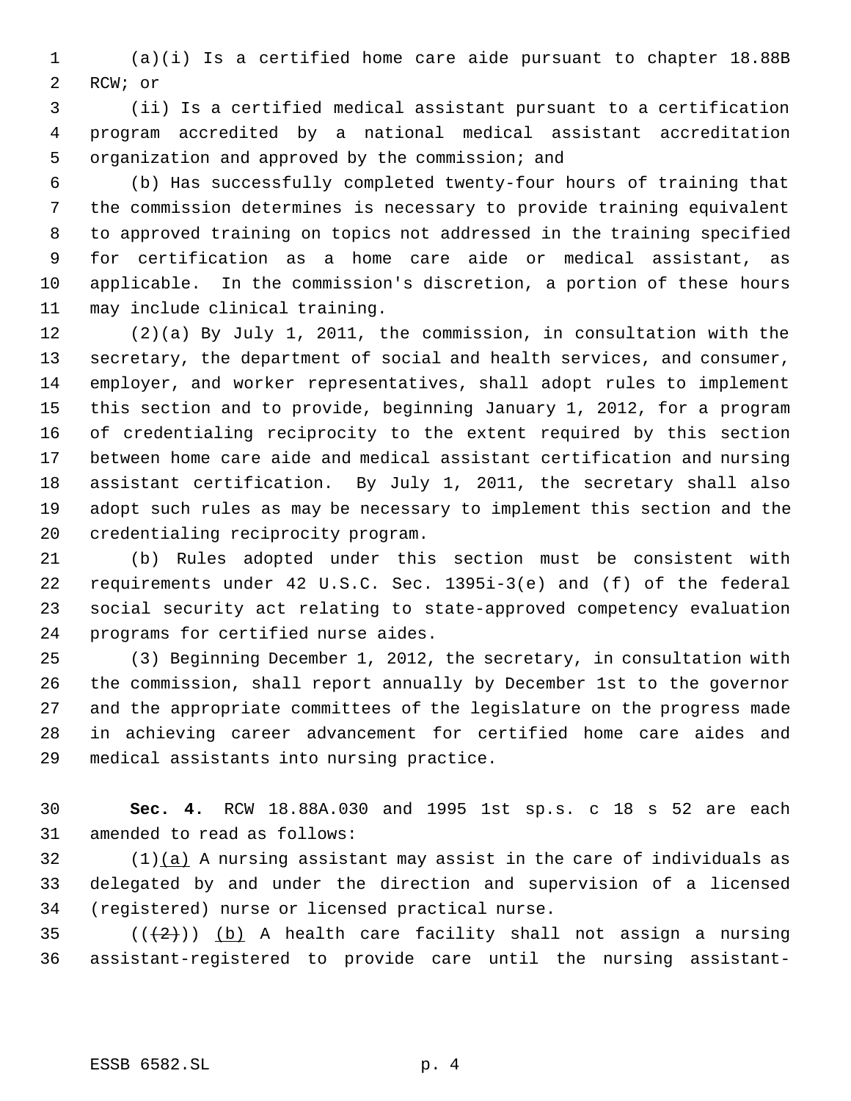(a)(i) Is a certified home care aide pursuant to chapter 18.88B RCW; or

 (ii) Is a certified medical assistant pursuant to a certification program accredited by a national medical assistant accreditation organization and approved by the commission; and

 (b) Has successfully completed twenty-four hours of training that the commission determines is necessary to provide training equivalent to approved training on topics not addressed in the training specified for certification as a home care aide or medical assistant, as applicable. In the commission's discretion, a portion of these hours may include clinical training.

 (2)(a) By July 1, 2011, the commission, in consultation with the secretary, the department of social and health services, and consumer, employer, and worker representatives, shall adopt rules to implement this section and to provide, beginning January 1, 2012, for a program of credentialing reciprocity to the extent required by this section between home care aide and medical assistant certification and nursing assistant certification. By July 1, 2011, the secretary shall also adopt such rules as may be necessary to implement this section and the credentialing reciprocity program.

 (b) Rules adopted under this section must be consistent with requirements under 42 U.S.C. Sec. 1395i-3(e) and (f) of the federal social security act relating to state-approved competency evaluation programs for certified nurse aides.

 (3) Beginning December 1, 2012, the secretary, in consultation with the commission, shall report annually by December 1st to the governor and the appropriate committees of the legislature on the progress made in achieving career advancement for certified home care aides and medical assistants into nursing practice.

 **Sec. 4.** RCW 18.88A.030 and 1995 1st sp.s. c 18 s 52 are each amended to read as follows:

 (1)(a) A nursing assistant may assist in the care of individuals as delegated by and under the direction and supervision of a licensed (registered) nurse or licensed practical nurse.

35 ( $(\frac{2}{2})$ ) (b) A health care facility shall not assign a nursing assistant-registered to provide care until the nursing assistant-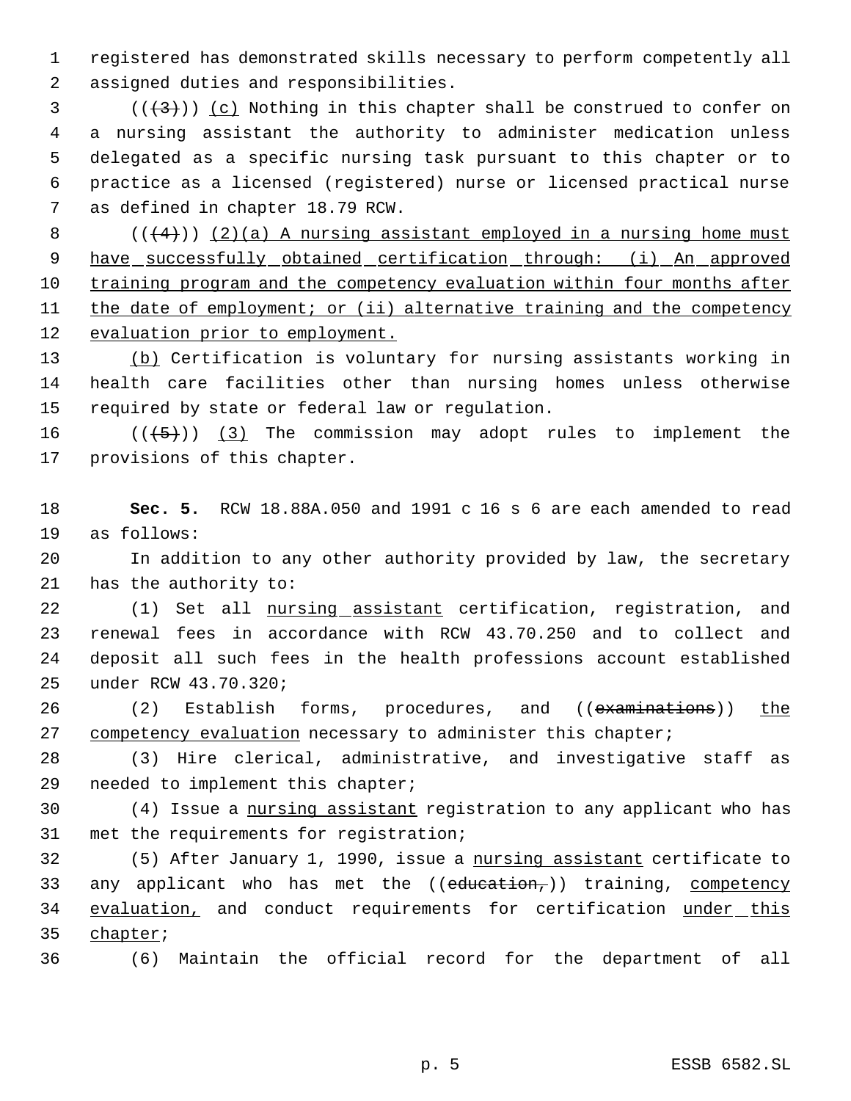registered has demonstrated skills necessary to perform competently all assigned duties and responsibilities.

 (( $(3)$ )) (c) Nothing in this chapter shall be construed to confer on a nursing assistant the authority to administer medication unless delegated as a specific nursing task pursuant to this chapter or to practice as a licensed (registered) nurse or licensed practical nurse as defined in chapter 18.79 RCW.

 $((+4))$   $(2)(a)$  A nursing assistant employed in a nursing home must 9 have successfully obtained certification through: (i) An approved training program and the competency evaluation within four months after the date of employment; or (ii) alternative training and the competency evaluation prior to employment.

 (b) Certification is voluntary for nursing assistants working in health care facilities other than nursing homes unless otherwise required by state or federal law or regulation.

16  $((\langle 5 \rangle)(3)$  The commission may adopt rules to implement the provisions of this chapter.

 **Sec. 5.** RCW 18.88A.050 and 1991 c 16 s 6 are each amended to read as follows:

 In addition to any other authority provided by law, the secretary has the authority to:

22 (1) Set all nursing assistant certification, registration, and renewal fees in accordance with RCW 43.70.250 and to collect and deposit all such fees in the health professions account established under RCW 43.70.320;

26 (2) Establish forms, procedures, and ((examinations)) the 27 competency evaluation necessary to administer this chapter;

 (3) Hire clerical, administrative, and investigative staff as needed to implement this chapter;

 (4) Issue a nursing assistant registration to any applicant who has met the requirements for registration;

 (5) After January 1, 1990, issue a nursing assistant certificate to 33 any applicant who has met the  $((edweation_))$  training, competency 34 evaluation, and conduct requirements for certification under this chapter;

(6) Maintain the official record for the department of all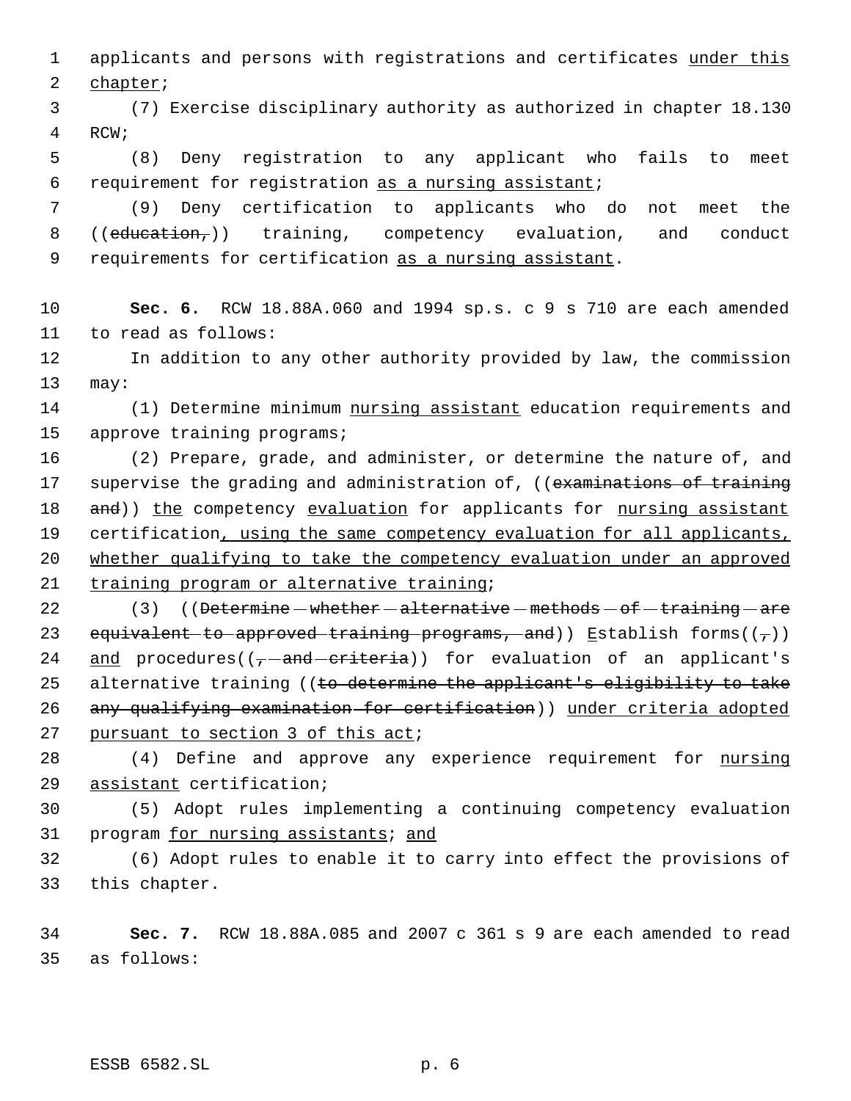1 applicants and persons with registrations and certificates under this 2 chapter;

 3 (7) Exercise disciplinary authority as authorized in chapter 18.130 4 RCW;

 5 (8) Deny registration to any applicant who fails to meet 6 requirement for registration as a nursing assistant;

 7 (9) Deny certification to applicants who do not meet the  $8$  ((education,)) training, competency evaluation, and conduct 9 requirements for certification as a nursing assistant.

10 **Sec. 6.** RCW 18.88A.060 and 1994 sp.s. c 9 s 710 are each amended 11 to read as follows:

12 In addition to any other authority provided by law, the commission 13 may:

14 (1) Determine minimum nursing assistant education requirements and 15 approve training programs;

16 (2) Prepare, grade, and administer, or determine the nature of, and 17 supervise the grading and administration of, ((examinations of training 18 and)) the competency evaluation for applicants for nursing assistant 19 certification, using the same competency evaluation for all applicants, 20 whether qualifying to take the competency evaluation under an approved 21 training program or alternative training;

22 (3) ((Determine - whether - alternative - methods - of - training - are 23 equivalent to approved training programs, and)) Establish forms( $(\tau)$ ) 24 and procedures( $(-$ -and-criteria)) for evaluation of an applicant's 25 alternative training ((to determine the applicant's eligibility to take 26 any qualifying examination for certification)) under criteria adopted 27 pursuant to section 3 of this act;

28 (4) Define and approve any experience requirement for nursing 29 assistant certification;

30 (5) Adopt rules implementing a continuing competency evaluation 31 program for nursing assistants; and

32 (6) Adopt rules to enable it to carry into effect the provisions of 33 this chapter.

34 **Sec. 7.** RCW 18.88A.085 and 2007 c 361 s 9 are each amended to read 35 as follows: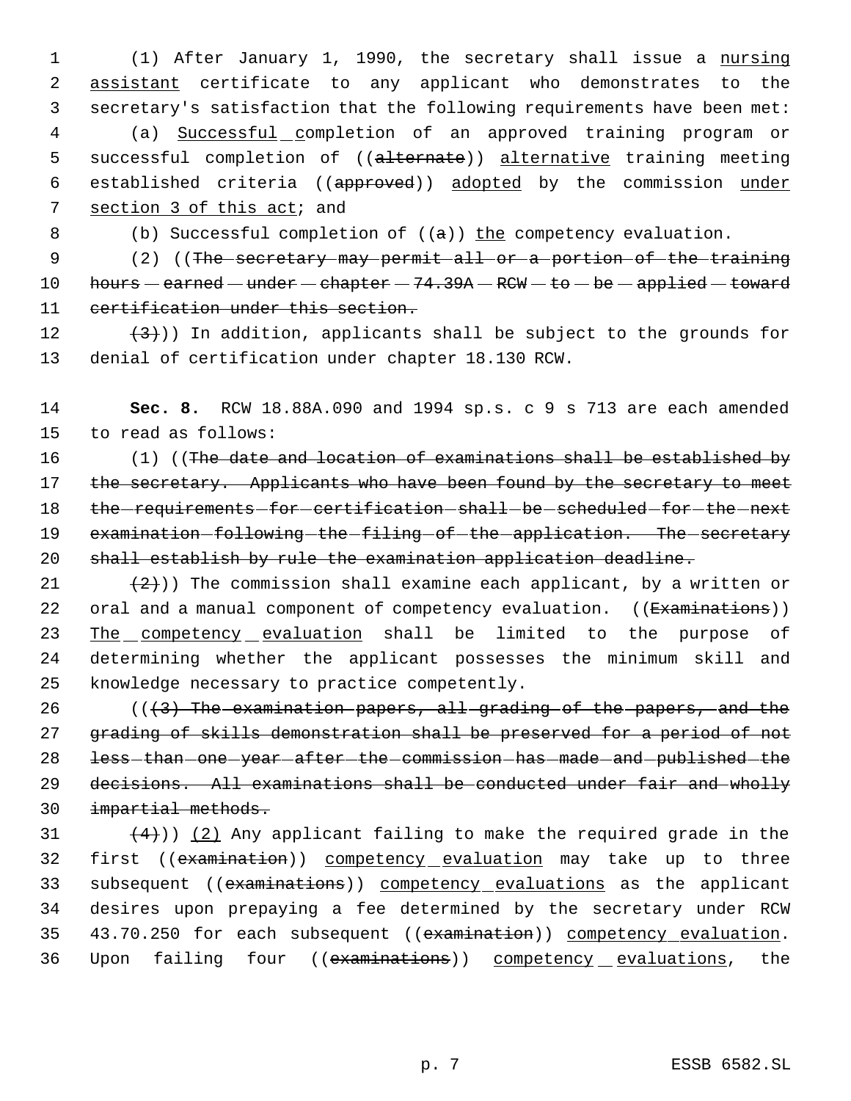(1) After January 1, 1990, the secretary shall issue a nursing assistant certificate to any applicant who demonstrates to the secretary's satisfaction that the following requirements have been met: (a) Successful completion of an approved training program or 5 successful completion of ((alternate)) alternative training meeting 6 established criteria ((approved)) adopted by the commission under section 3 of this act; and

8 (b) Successful completion of  $((a))$  the competency evaluation.

9 (2) ((The secretary may permit all or a portion of the training 10 hours  $-$  earned  $-$  under  $-$  chapter  $-$  74.39A  $-$  RCW  $-$  to  $-$  be  $-$  applied  $-$  toward 11 certification under this section.

12  $(3)$ ) In addition, applicants shall be subject to the grounds for 13 denial of certification under chapter 18.130 RCW.

14 **Sec. 8.** RCW 18.88A.090 and 1994 sp.s. c 9 s 713 are each amended 15 to read as follows:

16 (1) ((The date and location of examinations shall be established by 17 the secretary. Applicants who have been found by the secretary to meet 18 the requirements for certification shall be scheduled for the next 19 examination-following-the-filing-of-the-application. The-secretary 20 shall establish by rule the examination application deadline.

21  $(2)$ )) The commission shall examine each applicant, by a written or 22 oral and a manual component of competency evaluation. ((Examinations)) 23 The competency evaluation shall be limited to the purpose of 24 determining whether the applicant possesses the minimum skill and 25 knowledge necessary to practice competently.

 $((3)$  The examination papers, all grading of the papers, and the grading of skills demonstration shall be preserved for a period of not 28 less-than-one-year-after-the-commission-has-made-and-published-the decisions. All examinations shall be conducted under fair and wholly impartial methods.

31  $(4)$ )) (2) Any applicant failing to make the required grade in the 32 first ((examination)) competency evaluation may take up to three 33 subsequent ((examinations)) competency evaluations as the applicant 34 desires upon prepaying a fee determined by the secretary under RCW 35 43.70.250 for each subsequent ((examination)) competency evaluation. 36 Upon failing four ((examinations)) competency evaluations, the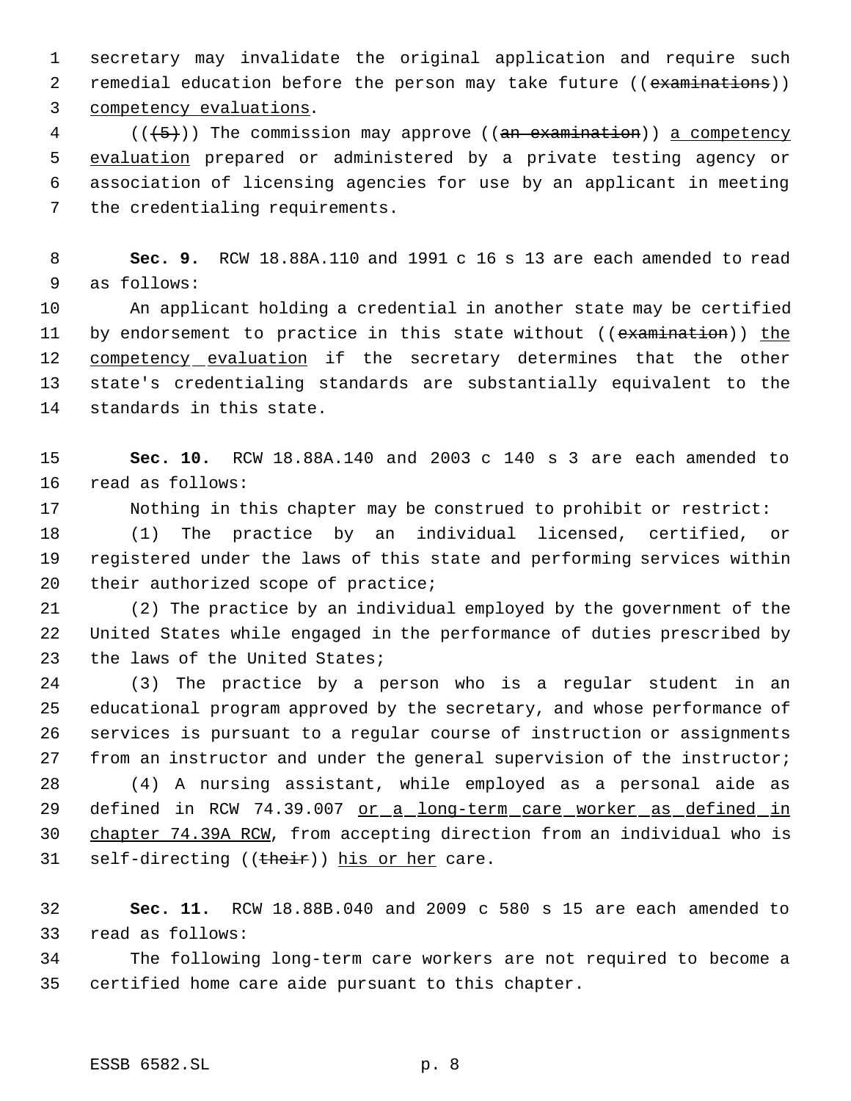secretary may invalidate the original application and require such 2 remedial education before the person may take future ((examinations)) competency evaluations.

 (( $\left(\frac{5}{5}\right)$ ) The commission may approve ((an examination)) a competency evaluation prepared or administered by a private testing agency or association of licensing agencies for use by an applicant in meeting the credentialing requirements.

 **Sec. 9.** RCW 18.88A.110 and 1991 c 16 s 13 are each amended to read as follows:

 An applicant holding a credential in another state may be certified 11 by endorsement to practice in this state without ((examination)) the 12 competency evaluation if the secretary determines that the other state's credentialing standards are substantially equivalent to the standards in this state.

 **Sec. 10.** RCW 18.88A.140 and 2003 c 140 s 3 are each amended to read as follows:

Nothing in this chapter may be construed to prohibit or restrict:

 (1) The practice by an individual licensed, certified, or registered under the laws of this state and performing services within 20 their authorized scope of practice;

 (2) The practice by an individual employed by the government of the United States while engaged in the performance of duties prescribed by 23 the laws of the United States;

 (3) The practice by a person who is a regular student in an educational program approved by the secretary, and whose performance of services is pursuant to a regular course of instruction or assignments from an instructor and under the general supervision of the instructor;

 (4) A nursing assistant, while employed as a personal aide as 29 defined in RCW 74.39.007 or a long-term care worker as defined in chapter 74.39A RCW, from accepting direction from an individual who is 31 self-directing ((their)) his or her care.

 **Sec. 11.** RCW 18.88B.040 and 2009 c 580 s 15 are each amended to read as follows:

 The following long-term care workers are not required to become a certified home care aide pursuant to this chapter.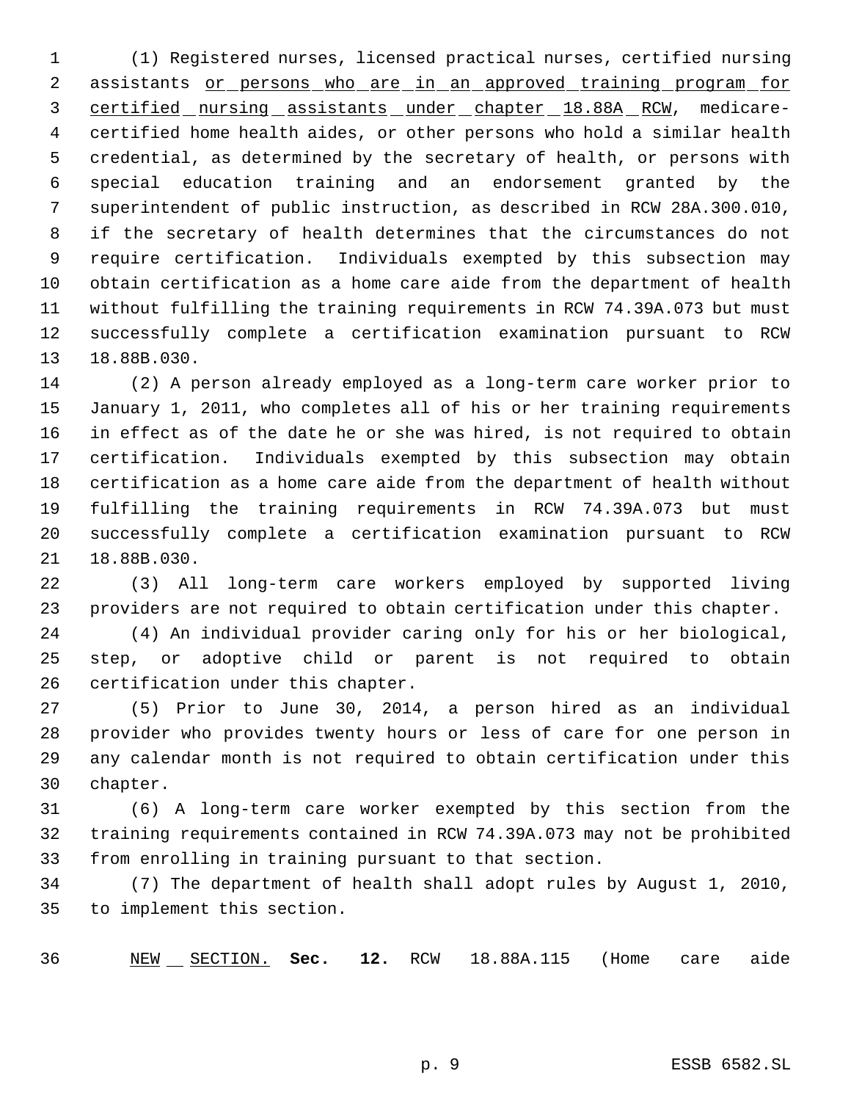(1) Registered nurses, licensed practical nurses, certified nursing 2 assistants or persons who are in an approved training program for 3 certified nursing assistants under chapter 18.88A RCW, medicare- certified home health aides, or other persons who hold a similar health credential, as determined by the secretary of health, or persons with special education training and an endorsement granted by the superintendent of public instruction, as described in RCW 28A.300.010, if the secretary of health determines that the circumstances do not require certification. Individuals exempted by this subsection may obtain certification as a home care aide from the department of health without fulfilling the training requirements in RCW 74.39A.073 but must successfully complete a certification examination pursuant to RCW 18.88B.030.

 (2) A person already employed as a long-term care worker prior to January 1, 2011, who completes all of his or her training requirements in effect as of the date he or she was hired, is not required to obtain certification. Individuals exempted by this subsection may obtain certification as a home care aide from the department of health without fulfilling the training requirements in RCW 74.39A.073 but must successfully complete a certification examination pursuant to RCW 18.88B.030.

 (3) All long-term care workers employed by supported living providers are not required to obtain certification under this chapter.

 (4) An individual provider caring only for his or her biological, step, or adoptive child or parent is not required to obtain certification under this chapter.

 (5) Prior to June 30, 2014, a person hired as an individual provider who provides twenty hours or less of care for one person in any calendar month is not required to obtain certification under this chapter.

 (6) A long-term care worker exempted by this section from the training requirements contained in RCW 74.39A.073 may not be prohibited from enrolling in training pursuant to that section.

 (7) The department of health shall adopt rules by August 1, 2010, to implement this section.

NEW SECTION. **Sec. 12.** RCW 18.88A.115 (Home care aide